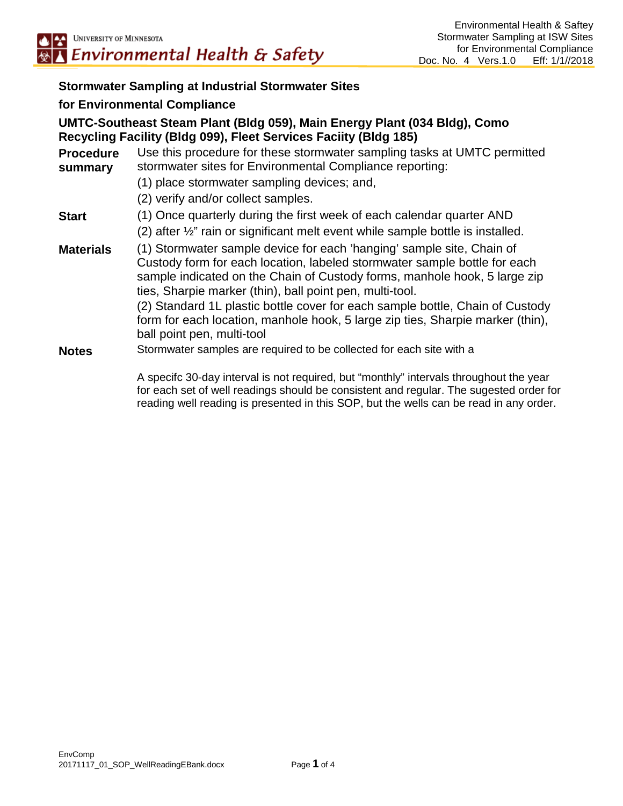#### **Stormwater Sampling at Industrial Stormwater Sites**

#### **for Environmental Compliance**

#### **UMTC-Southeast Steam Plant (Bldg 059), Main Energy Plant (034 Bldg), Como Recycling Facility (Bldg 099), Fleet Services Faciity (Bldg 185)**

| <b>Procedure</b><br>summary | Use this procedure for these stormwater sampling tasks at UMTC permitted<br>stormwater sites for Environmental Compliance reporting:                                                                                                                                                                                                                                                                                                                                                         |  |  |
|-----------------------------|----------------------------------------------------------------------------------------------------------------------------------------------------------------------------------------------------------------------------------------------------------------------------------------------------------------------------------------------------------------------------------------------------------------------------------------------------------------------------------------------|--|--|
|                             | (1) place stormwater sampling devices; and,                                                                                                                                                                                                                                                                                                                                                                                                                                                  |  |  |
|                             | (2) verify and/or collect samples.                                                                                                                                                                                                                                                                                                                                                                                                                                                           |  |  |
| <b>Start</b>                | (1) Once quarterly during the first week of each calendar quarter AND<br>(2) after $\frac{1}{2}$ " rain or significant melt event while sample bottle is installed.                                                                                                                                                                                                                                                                                                                          |  |  |
| <b>Materials</b>            | (1) Stormwater sample device for each 'hanging' sample site, Chain of<br>Custody form for each location, labeled stormwater sample bottle for each<br>sample indicated on the Chain of Custody forms, manhole hook, 5 large zip<br>ties, Sharpie marker (thin), ball point pen, multi-tool.<br>(2) Standard 1L plastic bottle cover for each sample bottle, Chain of Custody<br>form for each location, manhole hook, 5 large zip ties, Sharpie marker (thin),<br>ball point pen, multi-tool |  |  |
| <b>Notes</b>                | Stormwater samples are required to be collected for each site with a                                                                                                                                                                                                                                                                                                                                                                                                                         |  |  |
|                             | A specifc 30-day interval is not required, but "monthly" intervals throughout the year<br>for each set of well readings should be consistent and regular. The sugested order for                                                                                                                                                                                                                                                                                                             |  |  |

reading well reading is presented in this SOP, but the wells can be read in any order.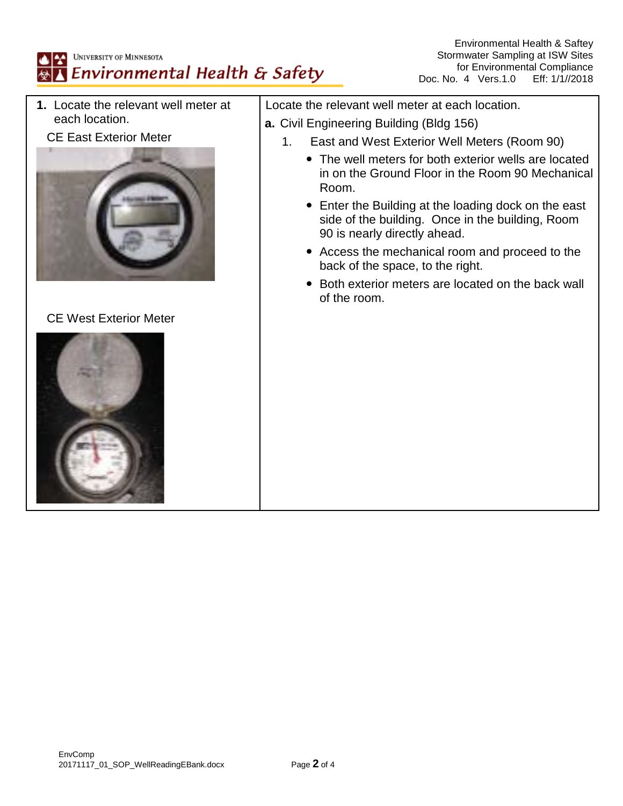

CE West Exterior Meter



- 1. East and West Exterior Well Meters (Room 90)
	- The well meters for both exterior wells are located in on the Ground Floor in the Room 90 Mechanical

Environmental Health & Saftey

- Enter the Building at the loading dock on the east side of the building. Once in the building, Room
- Access the mechanical room and proceed to the back of the space, to the right.
- Both exterior meters are located on the back wall of the room.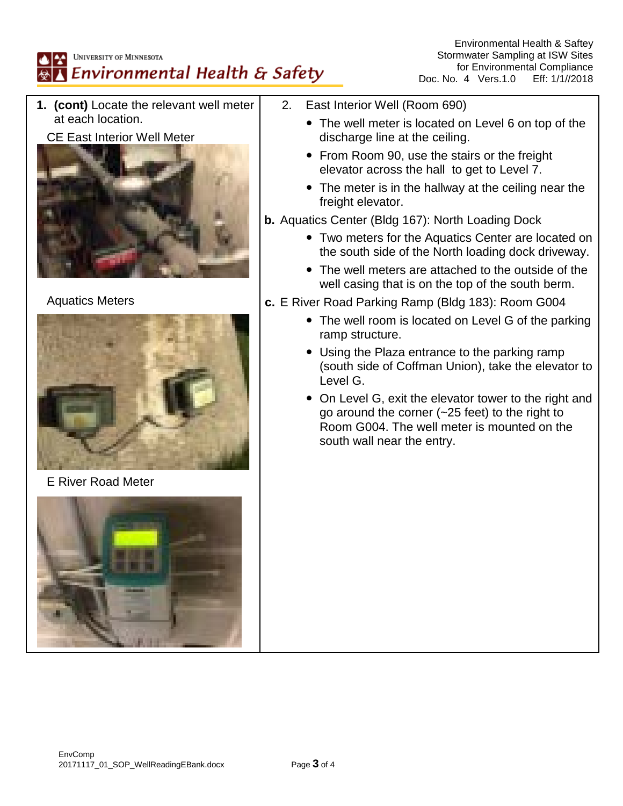# UNIVERSITY OF MINNESOTA Environmental Health & Safety

Environmental Health & Saftey Stormwater Sampling at ISW Sites for Environmental Compliance<br>4 Vers.1.0 Eff: 1/1//2018 Doc. No. 4 Vers. 1.0

**1. (cont)** Locate the relevant well meter at each location.

## CE East Interior Well Meter



# Aquatics Meters



E River Road Meter



- 2. East Interior Well (Room 690)
	- The well meter is located on Level 6 on top of the discharge line at the ceiling.
	- From Room 90, use the stairs or the freight elevator across the hall to get to Level 7.
	- The meter is in the hallway at the ceiling near the freight elevator.

### **b.** Aquatics Center (Bldg 167): North Loading Dock

- Two meters for the Aquatics Center are located on the south side of the North loading dock driveway.
- The well meters are attached to the outside of the well casing that is on the top of the south berm.

### **c.** E River Road Parking Ramp (Bldg 183): Room G004

- The well room is located on Level G of the parking ramp structure.
- Using the Plaza entrance to the parking ramp (south side of Coffman Union), take the elevator to Level G.
- On Level G, exit the elevator tower to the right and go around the corner (~25 feet) to the right to Room G004. The well meter is mounted on the south wall near the entry.